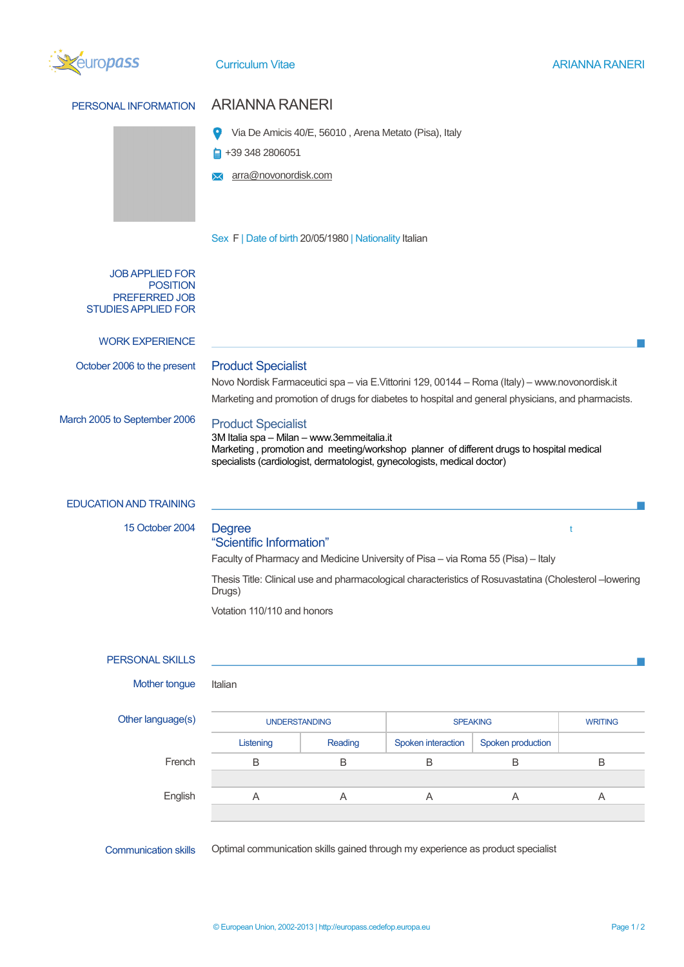

| PERSONAL INFORMATION                                                                            | <b>ARIANNA RANERI</b>                                                                                                                                                                                                                           |                                                                                 |                    |                   |             |  |
|-------------------------------------------------------------------------------------------------|-------------------------------------------------------------------------------------------------------------------------------------------------------------------------------------------------------------------------------------------------|---------------------------------------------------------------------------------|--------------------|-------------------|-------------|--|
|                                                                                                 | Via De Amicis 40/E, 56010, Arena Metato (Pisa), Italy                                                                                                                                                                                           |                                                                                 |                    |                   |             |  |
|                                                                                                 | $\frac{1}{2}$ +39 348 2806051                                                                                                                                                                                                                   |                                                                                 |                    |                   |             |  |
|                                                                                                 | arra@novonordisk.com<br>$\bowtie$                                                                                                                                                                                                               |                                                                                 |                    |                   |             |  |
|                                                                                                 |                                                                                                                                                                                                                                                 | Sex F   Date of birth 20/05/1980   Nationality Italian                          |                    |                   |             |  |
| <b>JOB APPLIED FOR</b><br><b>POSITION</b><br><b>PREFERRED JOB</b><br><b>STUDIES APPLIED FOR</b> |                                                                                                                                                                                                                                                 |                                                                                 |                    |                   |             |  |
| <b>WORK EXPERIENCE</b>                                                                          |                                                                                                                                                                                                                                                 |                                                                                 |                    |                   |             |  |
| October 2006 to the present                                                                     | <b>Product Specialist</b><br>Novo Nordisk Farmaceutici spa - via E.Vittorini 129, 00144 - Roma (Italy) - www.novonordisk.it<br>Marketing and promotion of drugs for diabetes to hospital and general physicians, and pharmacists.               |                                                                                 |                    |                   |             |  |
| March 2005 to September 2006                                                                    | <b>Product Specialist</b><br>3M Italia spa - Milan - www.3emmeitalia.it<br>Marketing, promotion and meeting/workshop planner of different drugs to hospital medical<br>specialists (cardiologist, dermatologist, gynecologists, medical doctor) |                                                                                 |                    |                   |             |  |
| <b>EDUCATION AND TRAINING</b>                                                                   |                                                                                                                                                                                                                                                 |                                                                                 |                    |                   |             |  |
| 15 October 2004                                                                                 | <b>Degree</b><br>t<br>"Scientific Information"<br>Faculty of Pharmacy and Medicine University of Pisa - via Roma 55 (Pisa) - Italy                                                                                                              |                                                                                 |                    |                   |             |  |
|                                                                                                 | Thesis Title: Clinical use and pharmacological characteristics of Rosuvastatina (Cholesterol - lowering<br>Drugs)                                                                                                                               |                                                                                 |                    |                   |             |  |
|                                                                                                 | Votation 110/110 and honors                                                                                                                                                                                                                     |                                                                                 |                    |                   |             |  |
| <b>PERSONAL SKILLS</b>                                                                          |                                                                                                                                                                                                                                                 |                                                                                 |                    |                   |             |  |
| Mother tongue                                                                                   | Italian                                                                                                                                                                                                                                         |                                                                                 |                    |                   |             |  |
| Other language(s)                                                                               | <b>UNDERSTANDING</b><br><b>SPEAKING</b><br><b>WRITING</b>                                                                                                                                                                                       |                                                                                 |                    |                   |             |  |
|                                                                                                 | Listening                                                                                                                                                                                                                                       | Reading                                                                         | Spoken interaction | Spoken production |             |  |
| French                                                                                          | B                                                                                                                                                                                                                                               | B                                                                               | B                  | B                 | $\mathsf B$ |  |
| English                                                                                         | Α                                                                                                                                                                                                                                               | Α                                                                               | Α                  | Α                 | Α           |  |
| <b>Communication skills</b>                                                                     |                                                                                                                                                                                                                                                 | Optimal communication skills gained through my experience as product specialist |                    |                   |             |  |